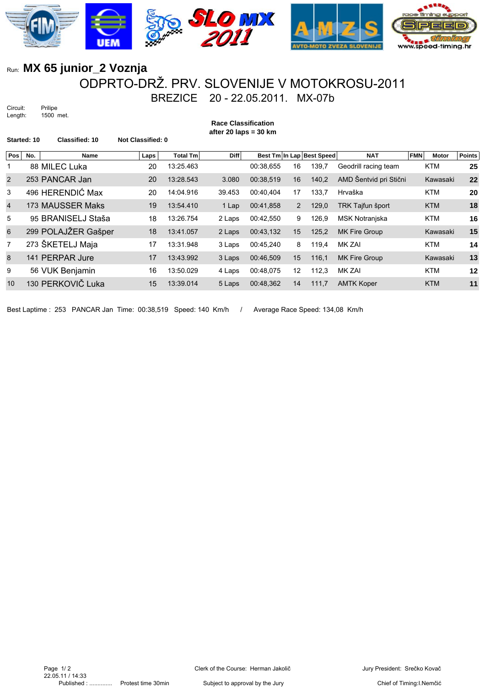

## Run: **MX 65 junior\_2 Voznja** ODPRTO-DRŽ. PRV. SLOVENIJE V MOTOKROSU-2011 BREZICE 20 - 22.05.2011. MX-07b

Circuit: Prilipe Length: 1500 met.

**after 20 laps = 30 km Started: 10 Classified: 10 Not Classified: 0 Pos No.** Name **Name** Laps Total Tm Diff Best Tm In Lap Best Speed NAT FMN Motor Points 88 MILEC Luka 20 13:25.463 00:38,655 16 139,7 Geodrill racing team KTM **25** 253 PANCAR Jan 20 13:28.543 3.080 00:38,519 16 140,2 AMD Šentvid pri Stični Kawasaki **22** 496 HERENDIĆ Max 20 14:04.916 39.453 00:40,404 17 133,7 Hrvaška KTM **20** 173 MAUSSER Maks 19 13:54.410 1 Lap 00:41,858 2 129,0 TRK Tajfun šport KTM **18** 95 BRANISELJ Staša 18 13:26.754 2 Laps 00:42,550 9 126,9 MSK Notranjska KTM **16** 299 POLAJŽER Gašper 18 13:41.057 2 Laps 00:43,132 15 125,2 MK Fire Group Kawasaki **15** 273 ŠKETELJ Maja 17 13:31.948 3 Laps 00:45,240 8 119,4 MK ZAI KTM **14** 141 PERPAR Jure 17 13:43.992 3 Laps 00:46,509 15 116,1 MK Fire Group Kawasaki **13** 56 VUK Benjamin 16 13:50.029 4 Laps 00:48,075 12 112,3 MK ZAI KTM **12** 130 PERKOVIČ Luka 15 13:39.014 5 Laps 00:48,362 14 111,7 AMTK Koper KTM **11**

**Race Classification**

Best Laptime : 253 PANCAR Jan Time: 00:38,519 Speed: 140 Km/h / Average Race Speed: 134,08 Km/h